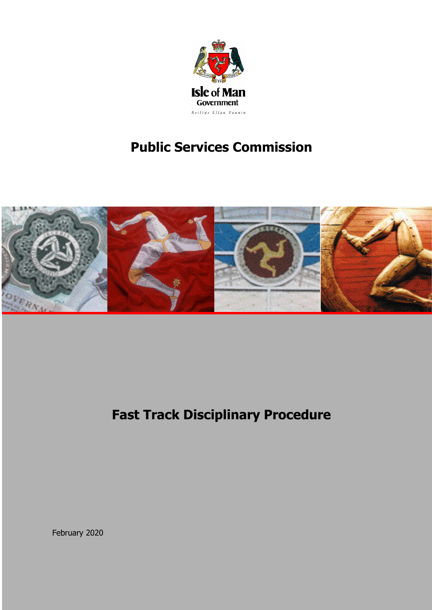

# **Public Services Commission**



**Fast Track Disciplinary Procedure**

February 2020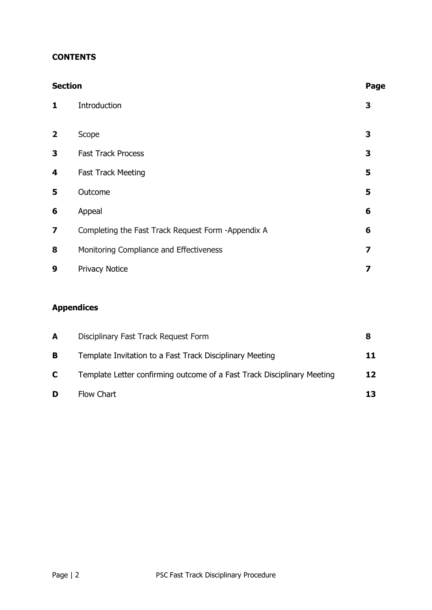## **CONTENTS**

| <b>Section</b>          |                                                    | Page |
|-------------------------|----------------------------------------------------|------|
| 1                       | Introduction                                       | 3    |
| $\overline{2}$          | Scope                                              | 3    |
| 3                       | <b>Fast Track Process</b>                          | 3    |
| 4                       | <b>Fast Track Meeting</b>                          | 5    |
| 5                       | Outcome                                            | 5    |
| 6                       | Appeal                                             | 6    |
| $\overline{\mathbf{z}}$ | Completing the Fast Track Request Form -Appendix A | 6    |
| 8                       | Monitoring Compliance and Effectiveness            | 7    |
| 9                       | <b>Privacy Notice</b>                              | 7    |

## **Appendices**

| A  | Disciplinary Fast Track Request Form                                    | 8   |
|----|-------------------------------------------------------------------------|-----|
| B  | Template Invitation to a Fast Track Disciplinary Meeting                | 11. |
| C. | Template Letter confirming outcome of a Fast Track Disciplinary Meeting | 12  |
| D  | Flow Chart                                                              | 13. |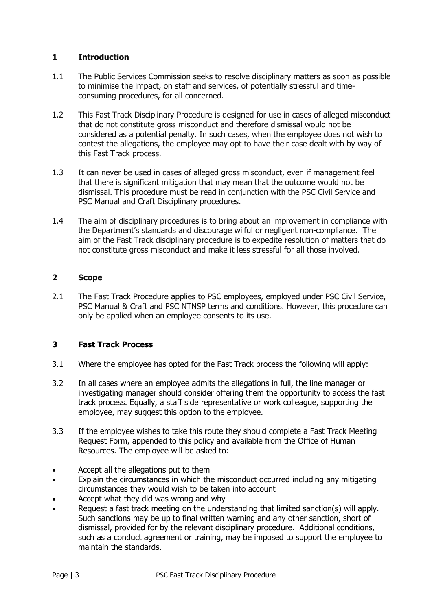## **1 Introduction**

- 1.1 The Public Services Commission seeks to resolve disciplinary matters as soon as possible to minimise the impact, on staff and services, of potentially stressful and timeconsuming procedures, for all concerned.
- 1.2 This Fast Track Disciplinary Procedure is designed for use in cases of alleged misconduct that do not constitute gross misconduct and therefore dismissal would not be considered as a potential penalty. In such cases, when the employee does not wish to contest the allegations, the employee may opt to have their case dealt with by way of this Fast Track process.
- 1.3 It can never be used in cases of alleged gross misconduct, even if management feel that there is significant mitigation that may mean that the outcome would not be dismissal. This procedure must be read in conjunction with the PSC Civil Service and PSC Manual and Craft Disciplinary procedures.
- 1.4 The aim of disciplinary procedures is to bring about an improvement in compliance with the Department's standards and discourage wilful or negligent non-compliance. The aim of the Fast Track disciplinary procedure is to expedite resolution of matters that do not constitute gross misconduct and make it less stressful for all those involved.

## **2 Scope**

2.1 The Fast Track Procedure applies to PSC employees, employed under PSC Civil Service, PSC Manual & Craft and PSC NTNSP terms and conditions. However, this procedure can only be applied when an employee consents to its use.

## **3 Fast Track Process**

- 3.1 Where the employee has opted for the Fast Track process the following will apply:
- 3.2 In all cases where an employee admits the allegations in full, the line manager or investigating manager should consider offering them the opportunity to access the fast track process. Equally, a staff side representative or work colleague, supporting the employee, may suggest this option to the employee.
- 3.3 If the employee wishes to take this route they should complete a Fast Track Meeting Request Form, appended to this policy and available from the Office of Human Resources. The employee will be asked to:
- Accept all the allegations put to them
- Explain the circumstances in which the misconduct occurred including any mitigating circumstances they would wish to be taken into account
- Accept what they did was wrong and why
- Request a fast track meeting on the understanding that limited sanction(s) will apply. Such sanctions may be up to final written warning and any other sanction, short of dismissal, provided for by the relevant disciplinary procedure. Additional conditions, such as a conduct agreement or training, may be imposed to support the employee to maintain the standards.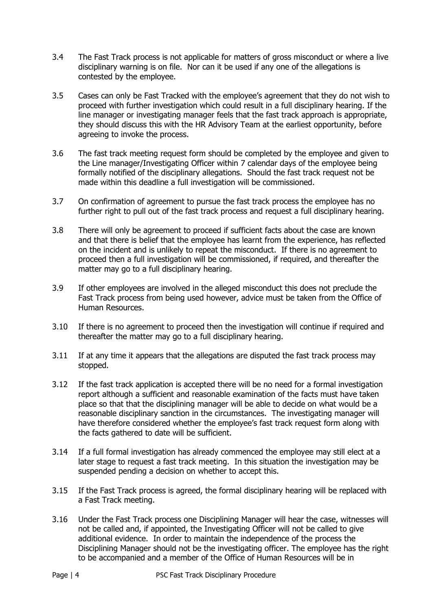- 3.4 The Fast Track process is not applicable for matters of gross misconduct or where a live disciplinary warning is on file. Nor can it be used if any one of the allegations is contested by the employee.
- 3.5 Cases can only be Fast Tracked with the employee's agreement that they do not wish to proceed with further investigation which could result in a full disciplinary hearing. If the line manager or investigating manager feels that the fast track approach is appropriate, they should discuss this with the HR Advisory Team at the earliest opportunity, before agreeing to invoke the process.
- 3.6 The fast track meeting request form should be completed by the employee and given to the Line manager/Investigating Officer within 7 calendar days of the employee being formally notified of the disciplinary allegations. Should the fast track request not be made within this deadline a full investigation will be commissioned.
- 3.7 On confirmation of agreement to pursue the fast track process the employee has no further right to pull out of the fast track process and request a full disciplinary hearing.
- 3.8 There will only be agreement to proceed if sufficient facts about the case are known and that there is belief that the employee has learnt from the experience, has reflected on the incident and is unlikely to repeat the misconduct. If there is no agreement to proceed then a full investigation will be commissioned, if required, and thereafter the matter may go to a full disciplinary hearing.
- 3.9 If other employees are involved in the alleged misconduct this does not preclude the Fast Track process from being used however, advice must be taken from the Office of Human Resources.
- 3.10 If there is no agreement to proceed then the investigation will continue if required and thereafter the matter may go to a full disciplinary hearing.
- 3.11 If at any time it appears that the allegations are disputed the fast track process may stopped.
- 3.12 If the fast track application is accepted there will be no need for a formal investigation report although a sufficient and reasonable examination of the facts must have taken place so that that the disciplining manager will be able to decide on what would be a reasonable disciplinary sanction in the circumstances. The investigating manager will have therefore considered whether the employee's fast track request form along with the facts gathered to date will be sufficient.
- 3.14 If a full formal investigation has already commenced the employee may still elect at a later stage to request a fast track meeting. In this situation the investigation may be suspended pending a decision on whether to accept this.
- 3.15 If the Fast Track process is agreed, the formal disciplinary hearing will be replaced with a Fast Track meeting.
- 3.16 Under the Fast Track process one Disciplining Manager will hear the case, witnesses will not be called and, if appointed, the Investigating Officer will not be called to give additional evidence. In order to maintain the independence of the process the Disciplining Manager should not be the investigating officer. The employee has the right to be accompanied and a member of the Office of Human Resources will be in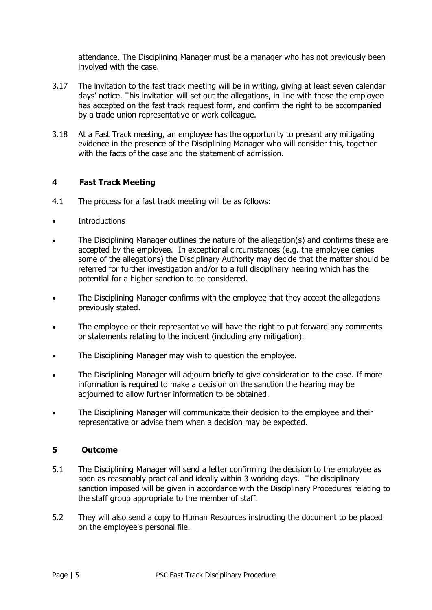attendance. The Disciplining Manager must be a manager who has not previously been involved with the case.

- 3.17 The invitation to the fast track meeting will be in writing, giving at least seven calendar days' notice. This invitation will set out the allegations, in line with those the employee has accepted on the fast track request form, and confirm the right to be accompanied by a trade union representative or work colleague.
- 3.18 At a Fast Track meeting, an employee has the opportunity to present any mitigating evidence in the presence of the Disciplining Manager who will consider this, together with the facts of the case and the statement of admission.

## **4 Fast Track Meeting**

- 4.1 The process for a fast track meeting will be as follows:
- **Introductions**
- The Disciplining Manager outlines the nature of the allegation(s) and confirms these are accepted by the employee. In exceptional circumstances (e.g. the employee denies some of the allegations) the Disciplinary Authority may decide that the matter should be referred for further investigation and/or to a full disciplinary hearing which has the potential for a higher sanction to be considered.
- The Disciplining Manager confirms with the employee that they accept the allegations previously stated.
- The employee or their representative will have the right to put forward any comments or statements relating to the incident (including any mitigation).
- The Disciplining Manager may wish to question the employee.
- The Disciplining Manager will adjourn briefly to give consideration to the case. If more information is required to make a decision on the sanction the hearing may be adjourned to allow further information to be obtained.
- The Disciplining Manager will communicate their decision to the employee and their representative or advise them when a decision may be expected.

#### **5 Outcome**

- 5.1 The Disciplining Manager will send a letter confirming the decision to the employee as soon as reasonably practical and ideally within 3 working days. The disciplinary sanction imposed will be given in accordance with the Disciplinary Procedures relating to the staff group appropriate to the member of staff.
- 5.2 They will also send a copy to Human Resources instructing the document to be placed on the employee's personal file.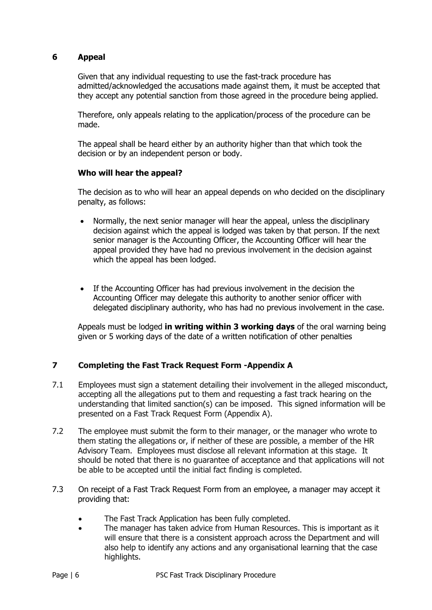## **6 Appeal**

Given that any individual requesting to use the fast-track procedure has admitted/acknowledged the accusations made against them, it must be accepted that they accept any potential sanction from those agreed in the procedure being applied.

Therefore, only appeals relating to the application/process of the procedure can be made.

The appeal shall be heard either by an authority higher than that which took the decision or by an independent person or body.

## **Who will hear the appeal?**

The decision as to who will hear an appeal depends on who decided on the disciplinary penalty, as follows:

- Normally, the next senior manager will hear the appeal, unless the disciplinary decision against which the appeal is lodged was taken by that person. If the next senior manager is the Accounting Officer, the Accounting Officer will hear the appeal provided they have had no previous involvement in the decision against which the appeal has been lodged.
- If the Accounting Officer has had previous involvement in the decision the Accounting Officer may delegate this authority to another senior officer with delegated disciplinary authority, who has had no previous involvement in the case.

Appeals must be lodged **in writing within 3 working days** of the oral warning being given or 5 working days of the date of a written notification of other penalties

## **7 Completing the Fast Track Request Form -Appendix A**

- 7.1 Employees must sign a statement detailing their involvement in the alleged misconduct, accepting all the allegations put to them and requesting a fast track hearing on the understanding that limited sanction(s) can be imposed. This signed information will be presented on a Fast Track Request Form (Appendix A).
- 7.2 The employee must submit the form to their manager, or the manager who wrote to them stating the allegations or, if neither of these are possible, a member of the HR Advisory Team. Employees must disclose all relevant information at this stage. It should be noted that there is no guarantee of acceptance and that applications will not be able to be accepted until the initial fact finding is completed.
- 7.3 On receipt of a Fast Track Request Form from an employee, a manager may accept it providing that:
	- The Fast Track Application has been fully completed.
	- The manager has taken advice from Human Resources. This is important as it will ensure that there is a consistent approach across the Department and will also help to identify any actions and any organisational learning that the case highlights.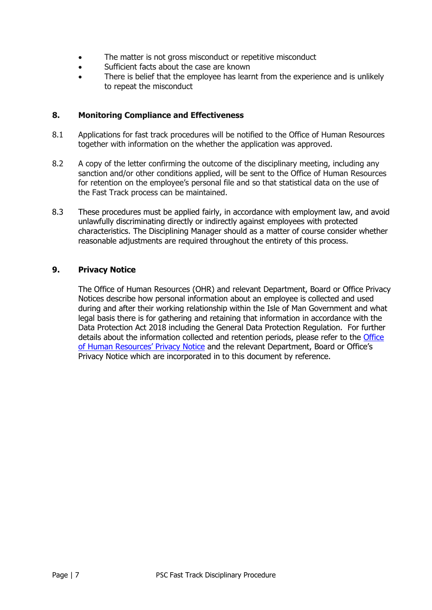- The matter is not gross misconduct or repetitive misconduct
- Sufficient facts about the case are known
- There is belief that the employee has learnt from the experience and is unlikely to repeat the misconduct

## **8. Monitoring Compliance and Effectiveness**

- 8.1 Applications for fast track procedures will be notified to the Office of Human Resources together with information on the whether the application was approved.
- 8.2 A copy of the letter confirming the outcome of the disciplinary meeting, including any sanction and/or other conditions applied, will be sent to the Office of Human Resources for retention on the employee's personal file and so that statistical data on the use of the Fast Track process can be maintained.
- 8.3 These procedures must be applied fairly, in accordance with employment law, and avoid unlawfully discriminating directly or indirectly against employees with protected characteristics. The Disciplining Manager should as a matter of course consider whether reasonable adjustments are required throughout the entirety of this process.

## **9. Privacy Notice**

The Office of Human Resources (OHR) and relevant Department, Board or Office Privacy Notices describe how personal information about an employee is collected and used during and after their working relationship within the Isle of Man Government and what legal basis there is for gathering and retaining that information in accordance with the Data Protection Act 2018 including the General Data Protection Regulation. For further details about the information collected and retention periods, please refer to the Office [of Human Resources' Privacy Notice](https://hr.gov.im/privacy-notice/) and the relevant Department, Board or Office's Privacy Notice which are incorporated in to this document by reference.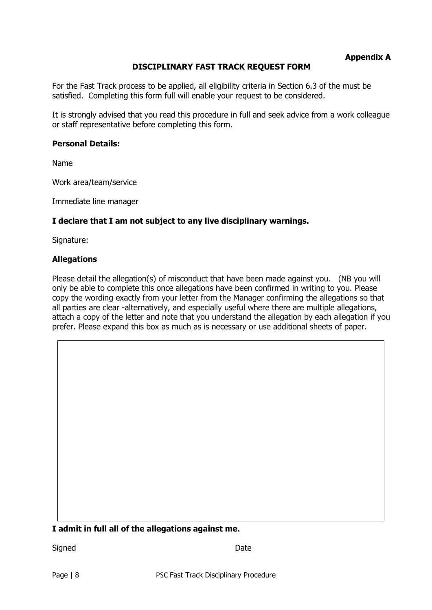## **Appendix A**

## **DISCIPLINARY FAST TRACK REQUEST FORM**

For the Fast Track process to be applied, all eligibility criteria in Section 6.3 of the must be satisfied. Completing this form full will enable your request to be considered.

It is strongly advised that you read this procedure in full and seek advice from a work colleague or staff representative before completing this form.

#### **Personal Details:**

Name

Work area/team/service

Immediate line manager

#### **I declare that I am not subject to any live disciplinary warnings.**

Signature:

#### **Allegations**

Please detail the allegation(s) of misconduct that have been made against you. (NB you will only be able to complete this once allegations have been confirmed in writing to you. Please copy the wording exactly from your letter from the Manager confirming the allegations so that all parties are clear -alternatively, and especially useful where there are multiple allegations, attach a copy of the letter and note that you understand the allegation by each allegation if you prefer. Please expand this box as much as is necessary or use additional sheets of paper.

#### **I admit in full all of the allegations against me.**

Signed Date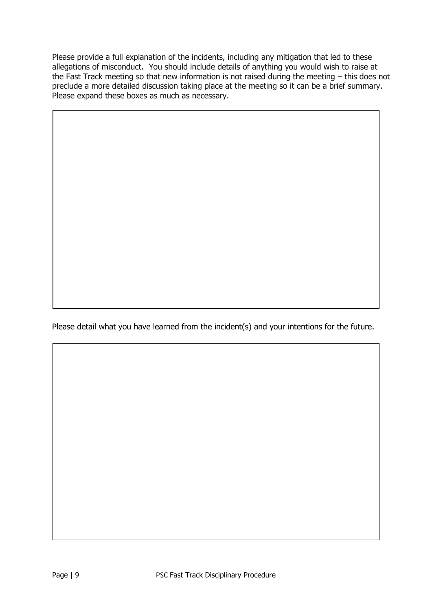Please provide a full explanation of the incidents, including any mitigation that led to these allegations of misconduct. You should include details of anything you would wish to raise at the Fast Track meeting so that new information is not raised during the meeting – this does not preclude a more detailed discussion taking place at the meeting so it can be a brief summary. Please expand these boxes as much as necessary.

Please detail what you have learned from the incident(s) and your intentions for the future.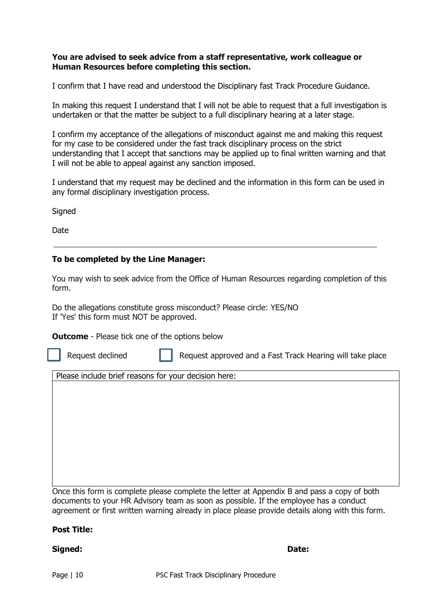#### **You are advised to seek advice from a staff representative, work colleague or Human Resources before completing this section.**

I confirm that I have read and understood the Disciplinary fast Track Procedure Guidance.

In making this request I understand that I will not be able to request that a full investigation is undertaken or that the matter be subject to a full disciplinary hearing at a later stage.

I confirm my acceptance of the allegations of misconduct against me and making this request for my case to be considered under the fast track disciplinary process on the strict understanding that I accept that sanctions may be applied up to final written warning and that I will not be able to appeal against any sanction imposed.

I understand that my request may be declined and the information in this form can be used in any formal disciplinary investigation process.

**Signed** 

Date

#### **To be completed by the Line Manager:**

You may wish to seek advice from the Office of Human Resources regarding completion of this form.

Do the allegations constitute gross misconduct? Please circle: YES/NO If 'Yes' this form must NOT be approved.

**Outcome** - Please tick one of the options below

Request declined **Request approved and a Fast Track Hearing will take place** 

Please include brief reasons for your decision here:

Once this form is complete please complete the letter at Appendix B and pass a copy of both documents to your HR Advisory team as soon as possible. If the employee has a conduct agreement or first written warning already in place please provide details along with this form.

#### **Post Title:**

#### **Signed: Date:**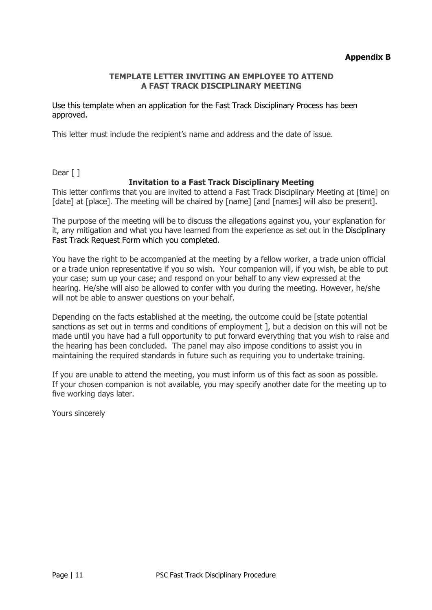## **TEMPLATE LETTER INVITING AN EMPLOYEE TO ATTEND A FAST TRACK DISCIPLINARY MEETING**

Use this template when an application for the Fast Track Disciplinary Process has been approved.

This letter must include the recipient's name and address and the date of issue.

Dear [ ]

## **Invitation to a Fast Track Disciplinary Meeting**

This letter confirms that you are invited to attend a Fast Track Disciplinary Meeting at [time] on [date] at [place]. The meeting will be chaired by [name] [and [names] will also be present].

The purpose of the meeting will be to discuss the allegations against you, your explanation for it, any mitigation and what you have learned from the experience as set out in the Disciplinary Fast Track Request Form which you completed.

You have the right to be accompanied at the meeting by a fellow worker, a trade union official or a trade union representative if you so wish. Your companion will, if you wish, be able to put your case; sum up your case; and respond on your behalf to any view expressed at the hearing. He/she will also be allowed to confer with you during the meeting. However, he/she will not be able to answer questions on your behalf.

Depending on the facts established at the meeting, the outcome could be [state potential sanctions as set out in terms and conditions of employment ], but a decision on this will not be made until you have had a full opportunity to put forward everything that you wish to raise and the hearing has been concluded. The panel may also impose conditions to assist you in maintaining the required standards in future such as requiring you to undertake training.

If you are unable to attend the meeting, you must inform us of this fact as soon as possible. If your chosen companion is not available, you may specify another date for the meeting up to five working days later.

Yours sincerely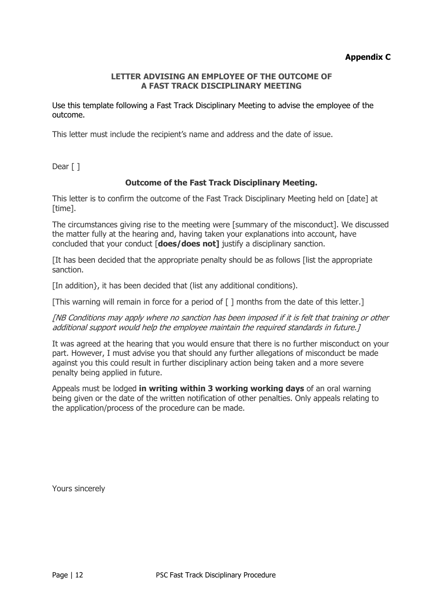## **Appendix C**

## **LETTER ADVISING AN EMPLOYEE OF THE OUTCOME OF A FAST TRACK DISCIPLINARY MEETING**

Use this template following a Fast Track Disciplinary Meeting to advise the employee of the outcome.

This letter must include the recipient's name and address and the date of issue.

Dear [ ]

## **Outcome of the Fast Track Disciplinary Meeting.**

This letter is to confirm the outcome of the Fast Track Disciplinary Meeting held on [date] at [time].

The circumstances giving rise to the meeting were [summary of the misconduct]. We discussed the matter fully at the hearing and, having taken your explanations into account, have concluded that your conduct [**does/does not]** justify a disciplinary sanction.

[It has been decided that the appropriate penalty should be as follows [list the appropriate sanction.

[In addition}, it has been decided that (list any additional conditions).

[This warning will remain in force for a period of  $\lceil$  ] months from the date of this letter.]

[NB Conditions may apply where no sanction has been imposed if it is felt that training or other additional support would help the employee maintain the required standards in future. I

It was agreed at the hearing that you would ensure that there is no further misconduct on your part. However, I must advise you that should any further allegations of misconduct be made against you this could result in further disciplinary action being taken and a more severe penalty being applied in future.

Appeals must be lodged **in writing within 3 working working days** of an oral warning being given or the date of the written notification of other penalties. Only appeals relating to the application/process of the procedure can be made.

Yours sincerely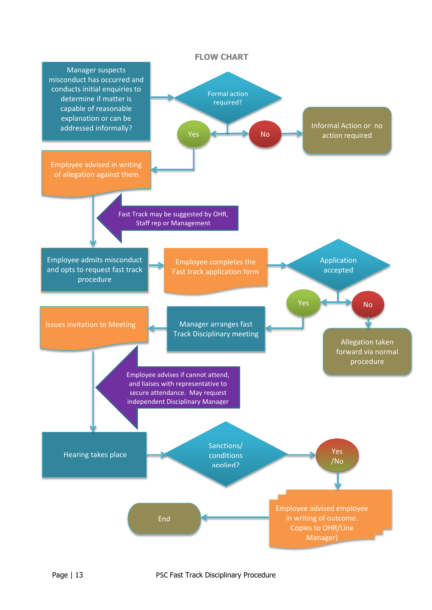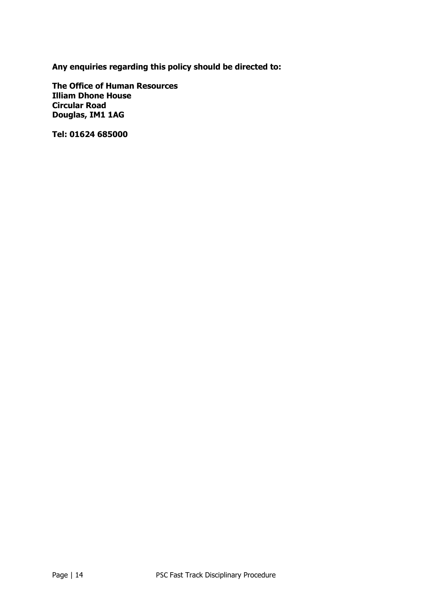**Any enquiries regarding this policy should be directed to:**

**The Office of Human Resources Illiam Dhone House Circular Road Douglas, IM1 1AG**

**Tel: 01624 685000**